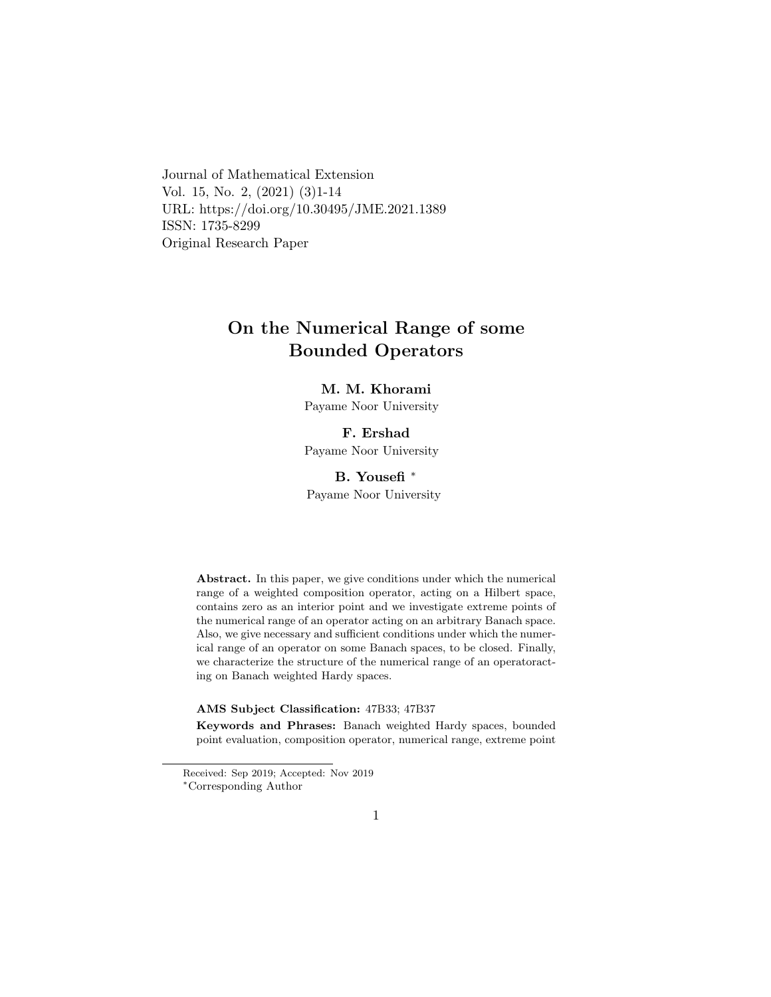Journal of Mathematical Extension Vol. 15, No. 2, (2021) (3)1-14 URL: https://doi.org/10.30495/JME.2021.1389 ISSN: 1735-8299 Original Research Paper

# On the Numerical Range of some Bounded Operators

## M. M. Khorami

Payame Noor University

## F. Ershad

Payame Noor University

## B. Yousefi [∗](#page-0-0)

Payame Noor University

Abstract. In this paper, we give conditions under which the numerical range of a weighted composition operator, acting on a Hilbert space, contains zero as an interior point and we investigate extreme points of the numerical range of an operator acting on an arbitrary Banach space. Also, we give necessary and sufficient conditions under which the numerical range of an operator on some Banach spaces, to be closed. Finally, we characterize the structure of the numerical range of an operatoracting on Banach weighted Hardy spaces.

### AMS Subject Classification: 47B33; 47B37

Keywords and Phrases: Banach weighted Hardy spaces, bounded point evaluation, composition operator, numerical range, extreme point

Received: Sep 2019; Accepted: Nov 2019

<span id="page-0-0"></span><sup>∗</sup>Corresponding Author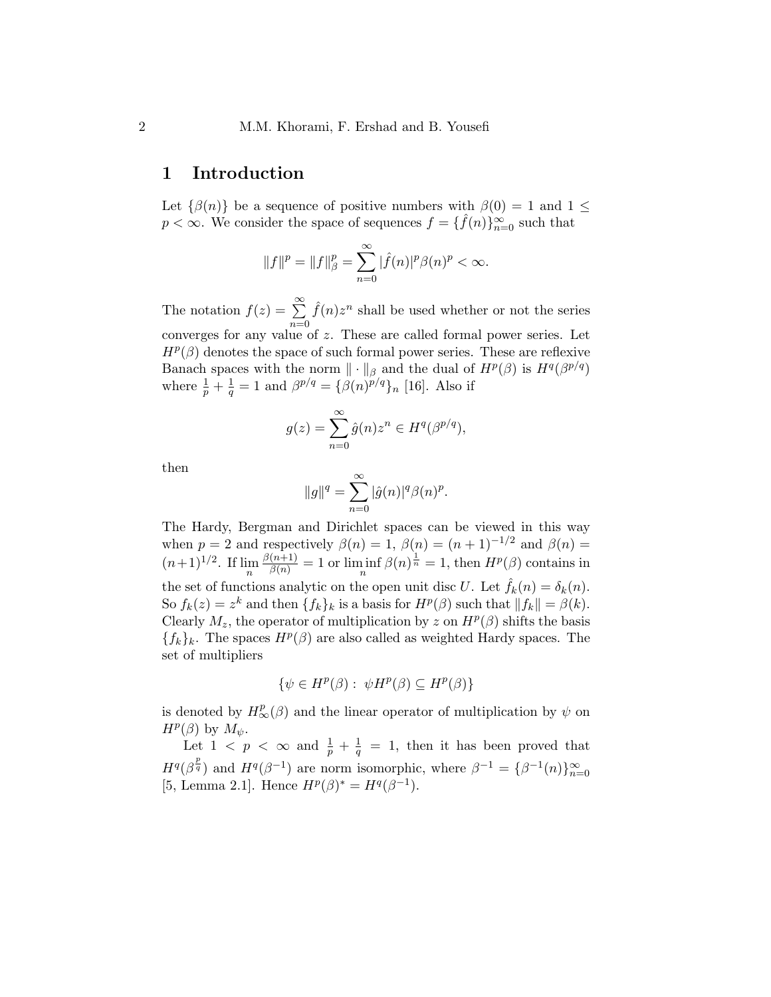## 1 Introduction

Let  $\{\beta(n)\}\$ be a sequence of positive numbers with  $\beta(0) = 1$  and  $1 \leq$  $p < \infty$ . We consider the space of sequences  $f = \{ \hat{f}(n) \}_{n=0}^{\infty}$  such that

$$
||f||^{p} = ||f||_{\beta}^{p} = \sum_{n=0}^{\infty} |\hat{f}(n)|^{p} \beta(n)^{p} < \infty.
$$

The notation  $f(z) = \sum_{n=0}^{\infty}$  $n=0$  $\hat{f}(n)z^n$  shall be used whether or not the series converges for any value of z. These are called formal power series. Let  $H^p(\beta)$  denotes the space of such formal power series. These are reflexive Banach spaces with the norm  $\|\cdot\|_{\beta}$  and the dual of  $H^p(\beta)$  is  $H^q(\beta^{p/q})$ where  $\frac{1}{p} + \frac{1}{q}$  $\frac{1}{q} = 1$  and  $\beta^{p/q} = {\beta(n)^{p/q}}_n$  [16]. Also if

$$
g(z) = \sum_{n=0}^{\infty} \hat{g}(n) z^n \in H^q(\beta^{p/q}),
$$

then

$$
||g||q = \sum_{n=0}^{\infty} |\hat{g}(n)|q \beta(n)p.
$$

The Hardy, Bergman and Dirichlet spaces can be viewed in this way when  $p = 2$  and respectively  $\beta(n) = 1$ ,  $\beta(n) = (n + 1)^{-1/2}$  and  $\beta(n) =$  $(n+1)^{1/2}$ . If  $\lim_{n} \frac{\beta(n+1)}{\beta(n)} = 1$  or  $\lim_{n} \inf \beta(n)^{\frac{1}{n}} = 1$ , then  $H^p(\beta)$  contains in the set of functions analytic on the open unit disc U. Let  $\hat{f}_k(n) = \delta_k(n)$ . So  $f_k(z) = z^k$  and then  $\{f_k\}_k$  is a basis for  $H^p(\beta)$  such that  $||f_k|| = \beta(k)$ . Clearly  $M_z$ , the operator of multiplication by z on  $H^p(\beta)$  shifts the basis  ${f_k}_k$ . The spaces  $H^p(\beta)$  are also called as weighted Hardy spaces. The set of multipliers

$$
\{\psi \in H^p(\beta) : \ \psi H^p(\beta) \subseteq H^p(\beta)\}\
$$

is denoted by  $H_{\infty}^{p}(\beta)$  and the linear operator of multiplication by  $\psi$  on  $H^p(\beta)$  by  $M_{\psi}$ .

Let  $1 \leq p \leq \infty$  and  $\frac{1}{p} + \frac{1}{q} = 1$ , then it has been proved that  $H^q(\beta^{\frac{p}{q}})$  and  $H^q(\beta^{-1})$  are norm isomorphic, where  $\beta^{-1} = {\beta^{-1}(n)}_{n=0}^{\infty}$ [5, Lemma 2.1]. Hence  $H^p(\beta)^* = H^q(\beta^{-1})$ .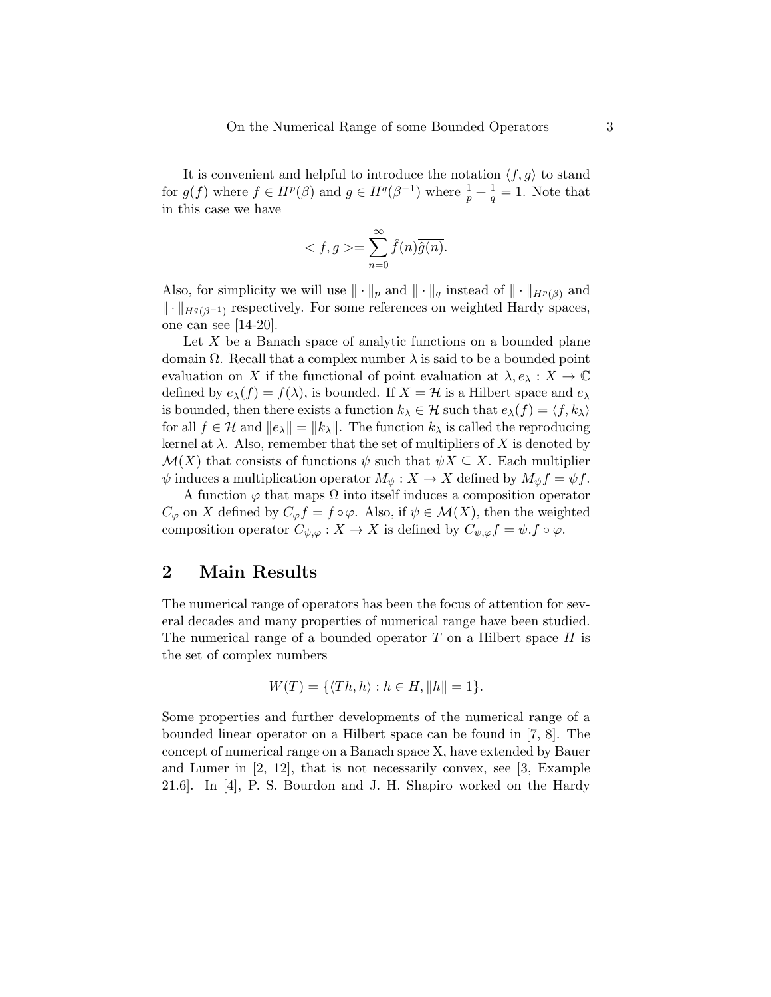It is convenient and helpful to introduce the notation  $\langle f, g \rangle$  to stand for  $g(f)$  where  $f \in H^p(\beta)$  and  $g \in H^q(\beta^{-1})$  where  $\frac{1}{p} + \frac{1}{q}$  $\frac{1}{q} = 1$ . Note that in this case we have

$$
\langle f, g \rangle = \sum_{n=0}^{\infty} \hat{f}(n)\overline{\hat{g}(n)}.
$$

Also, for simplicity we will use  $\|\cdot\|_p$  and  $\|\cdot\|_q$  instead of  $\|\cdot\|_{H^p(\beta)}$  and  $\|\cdot\|_{H^q(\beta^{-1})}$  respectively. For some references on weighted Hardy spaces, one can see [14-20].

Let  $X$  be a Banach space of analytic functions on a bounded plane domain  $\Omega$ . Recall that a complex number  $\lambda$  is said to be a bounded point evaluation on X if the functional of point evaluation at  $\lambda, e_\lambda : X \to \mathbb{C}$ defined by  $e_{\lambda}(f) = f(\lambda)$ , is bounded. If  $X = H$  is a Hilbert space and  $e_{\lambda}$ is bounded, then there exists a function  $k_{\lambda} \in \mathcal{H}$  such that  $e_{\lambda}(f) = \langle f, k_{\lambda} \rangle$ for all  $f \in \mathcal{H}$  and  $||e_\lambda|| = ||k_\lambda||$ . The function  $k_\lambda$  is called the reproducing kernel at  $\lambda$ . Also, remember that the set of multipliers of X is denoted by  $\mathcal{M}(X)$  that consists of functions  $\psi$  such that  $\psi X \subseteq X$ . Each multiplier  $\psi$  induces a multiplication operator  $M_{\psi}: X \to X$  defined by  $M_{\psi} f = \psi f$ .

A function  $\varphi$  that maps  $\Omega$  into itself induces a composition operator  $C_{\varphi}$  on X defined by  $C_{\varphi} f = f \circ \varphi$ . Also, if  $\psi \in \mathcal{M}(X)$ , then the weighted composition operator  $C_{\psi,\varphi}: X \to X$  is defined by  $C_{\psi,\varphi} f = \psi.f \circ \varphi$ .

## 2 Main Results

The numerical range of operators has been the focus of attention for several decades and many properties of numerical range have been studied. The numerical range of a bounded operator  $T$  on a Hilbert space  $H$  is the set of complex numbers

$$
W(T) = \{ \langle Th, h \rangle : h \in H, ||h|| = 1 \}.
$$

Some properties and further developments of the numerical range of a bounded linear operator on a Hilbert space can be found in [7, 8]. The concept of numerical range on a Banach space X, have extended by Bauer and Lumer in [2, 12], that is not necessarily convex, see [3, Example 21.6]. In [4], P. S. Bourdon and J. H. Shapiro worked on the Hardy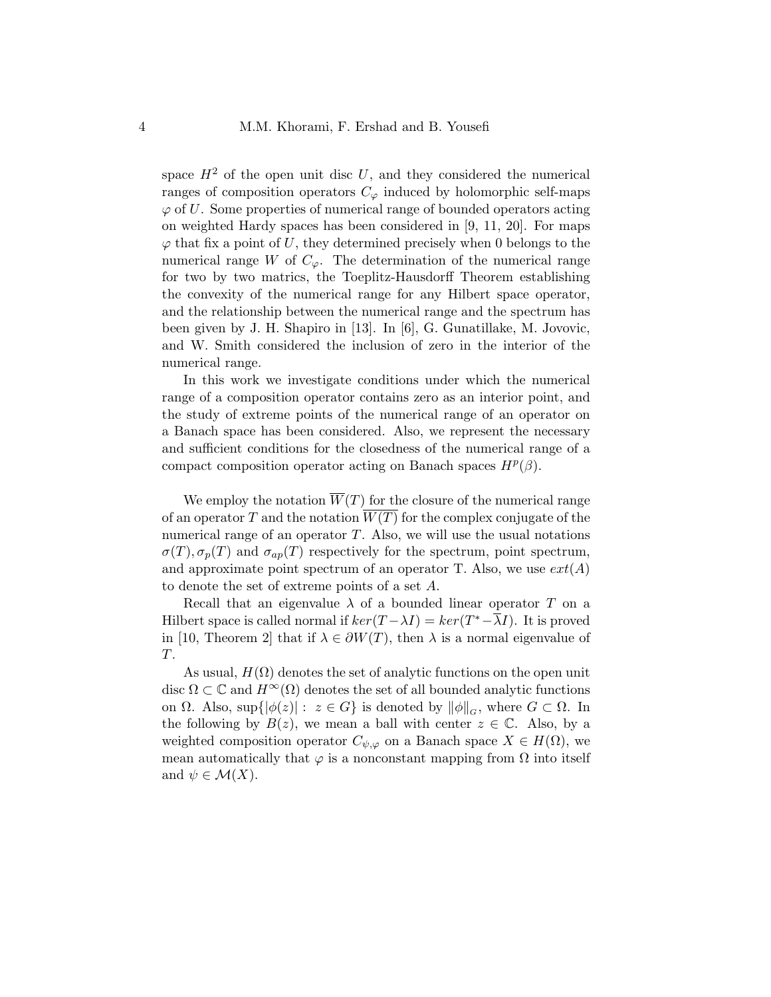space  $H<sup>2</sup>$  of the open unit disc U, and they considered the numerical ranges of composition operators  $C_{\varphi}$  induced by holomorphic self-maps  $\varphi$  of U. Some properties of numerical range of bounded operators acting on weighted Hardy spaces has been considered in [9, 11, 20]. For maps  $\varphi$  that fix a point of U, they determined precisely when 0 belongs to the numerical range W of  $C_{\varphi}$ . The determination of the numerical range for two by two matrics, the Toeplitz-Hausdorff Theorem establishing the convexity of the numerical range for any Hilbert space operator, and the relationship between the numerical range and the spectrum has been given by J. H. Shapiro in [13]. In [6], G. Gunatillake, M. Jovovic, and W. Smith considered the inclusion of zero in the interior of the numerical range.

In this work we investigate conditions under which the numerical range of a composition operator contains zero as an interior point, and the study of extreme points of the numerical range of an operator on a Banach space has been considered. Also, we represent the necessary and sufficient conditions for the closedness of the numerical range of a compact composition operator acting on Banach spaces  $H^p(\beta)$ .

We employ the notation  $\overline{W}(T)$  for the closure of the numerical range of an operator  $T$  and the notation  $W(T)$  for the complex conjugate of the numerical range of an operator  $T$ . Also, we will use the usual notations  $\sigma(T), \sigma_p(T)$  and  $\sigma_{ap}(T)$  respectively for the spectrum, point spectrum, and approximate point spectrum of an operator T. Also, we use  $ext(A)$ to denote the set of extreme points of a set A.

Recall that an eigenvalue  $\lambda$  of a bounded linear operator T on a Hilbert space is called normal if  $ker(T - \lambda I) = ker(T^* - \overline{\lambda}I)$ . It is proved in [10, Theorem 2] that if  $\lambda \in \partial W(T)$ , then  $\lambda$  is a normal eigenvalue of T.

As usual,  $H(\Omega)$  denotes the set of analytic functions on the open unit disc  $\Omega \subset \mathbb{C}$  and  $H^{\infty}(\Omega)$  denotes the set of all bounded analytic functions on  $\Omega$ . Also, sup $\{|\phi(z)|: z \in G\}$  is denoted by  $\|\phi\|_G$ , where  $G \subset \Omega$ . In the following by  $B(z)$ , we mean a ball with center  $z \in \mathbb{C}$ . Also, by a weighted composition operator  $C_{\psi,\varphi}$  on a Banach space  $X \in H(\Omega)$ , we mean automatically that  $\varphi$  is a nonconstant mapping from  $\Omega$  into itself and  $\psi \in \mathcal{M}(X)$ .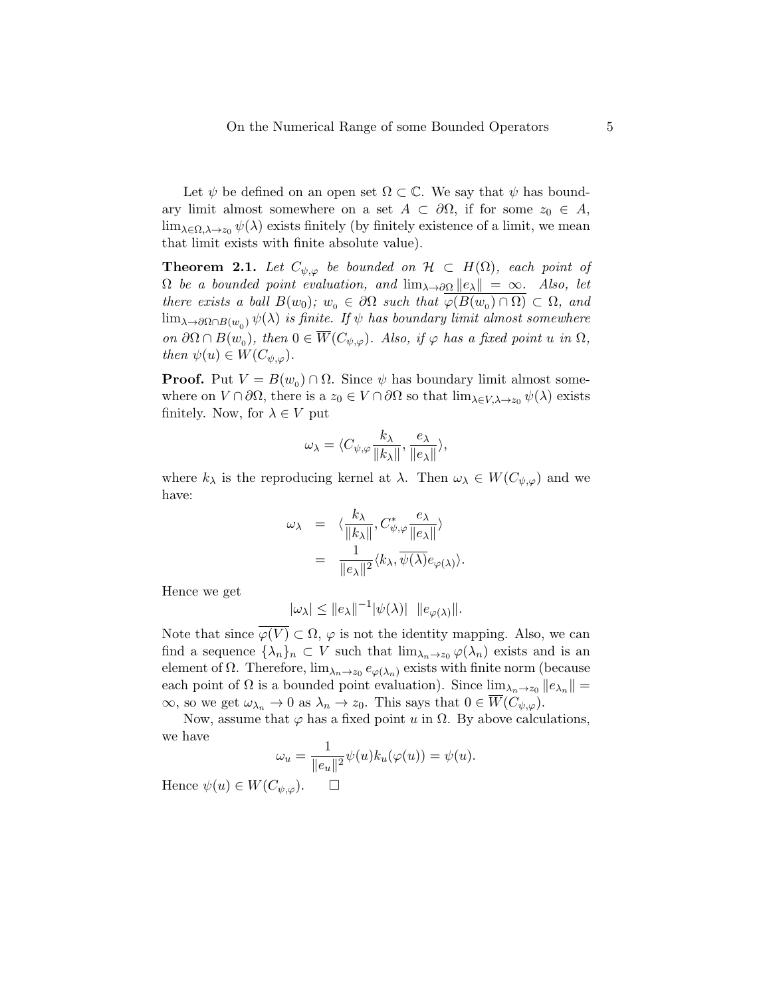Let  $\psi$  be defined on an open set  $\Omega \subset \mathbb{C}$ . We say that  $\psi$  has boundary limit almost somewhere on a set  $A \subset \partial\Omega$ , if for some  $z_0 \in A$ ,  $\lim_{\lambda \in \Omega, \lambda \to z_0} \psi(\lambda)$  exists finitely (by finitely existence of a limit, we mean that limit exists with finite absolute value).

**Theorem 2.1.** Let  $C_{\psi,\varphi}$  be bounded on  $\mathcal{H} \subset H(\Omega)$ , each point of  $\Omega$  be a bounded point evaluation, and  $\lim_{\lambda \to 0} ||e_{\lambda}|| = \infty$ . Also, let there exists a ball  $B(w_0); w_0 \in \partial\Omega$  such that  $\varphi(B(w_0) \cap \Omega) \subset \Omega$ , and  $\lim_{\lambda\to\partial\Omega\cap B(w_0)}\psi(\lambda)$  is finite. If  $\psi$  has boundary limit almost somewhere on  $\partial\Omega \cap B(w_0)$ , then  $0 \in \overline{W}(C_{\psi,\varphi})$ . Also, if  $\varphi$  has a fixed point u in  $\Omega$ , then  $\psi(u) \in W(C_{\psi,\varphi}).$ 

**Proof.** Put  $V = B(w_0) \cap \Omega$ . Since  $\psi$  has boundary limit almost somewhere on  $V \cap \partial\Omega$ , there is a  $z_0 \in V \cap \partial\Omega$  so that  $\lim_{\lambda \in V, \lambda \to z_0} \psi(\lambda)$  exists finitely. Now, for  $\lambda \in V$  put

$$
\omega_\lambda = \langle C_{\psi,\varphi} \frac{k_\lambda}{\|k_\lambda\|}, \frac{e_\lambda}{\|e_\lambda\|} \rangle,
$$

where  $k_{\lambda}$  is the reproducing kernel at  $\lambda$ . Then  $\omega_{\lambda} \in W(C_{\psi,\varphi})$  and we have:

$$
\omega_{\lambda} = \langle \frac{k_{\lambda}}{\|k_{\lambda}\|}, C^*_{\psi, \varphi} \frac{e_{\lambda}}{\|e_{\lambda}\|} \rangle
$$
  
= 
$$
\frac{1}{\|e_{\lambda}\|^2} \langle k_{\lambda}, \overline{\psi(\lambda)} e_{\varphi(\lambda)} \rangle.
$$

Hence we get

$$
|\omega_{\lambda}| \leq ||e_{\lambda}||^{-1} |\psi(\lambda)| \t||e_{\varphi(\lambda)}||.
$$

Note that since  $\overline{\varphi(V)} \subset \Omega$ ,  $\varphi$  is not the identity mapping. Also, we can find a sequence  $\{\lambda_n\}_n \subset V$  such that  $\lim_{\lambda_n \to z_0} \varphi(\lambda_n)$  exists and is an element of  $\Omega$ . Therefore,  $\lim_{\lambda_n \to z_0} e_{\varphi(\lambda_n)}$  exists with finite norm (because each point of  $\Omega$  is a bounded point evaluation). Since  $\lim_{\lambda_n \to z_0} ||e_{\lambda_n}|| =$  $\infty$ , so we get  $\omega_{\lambda_n} \to 0$  as  $\lambda_n \to z_0$ . This says that  $0 \in \overline{W}(C_{\psi,\varphi})$ .

Now, assume that  $\varphi$  has a fixed point u in  $\Omega$ . By above calculations, we have

$$
\omega_u = \frac{1}{\|e_u\|^2} \psi(u) k_u(\varphi(u)) = \psi(u).
$$

Hence  $\psi(u) \in W(C_{\psi,\varphi})$ .  $\Box$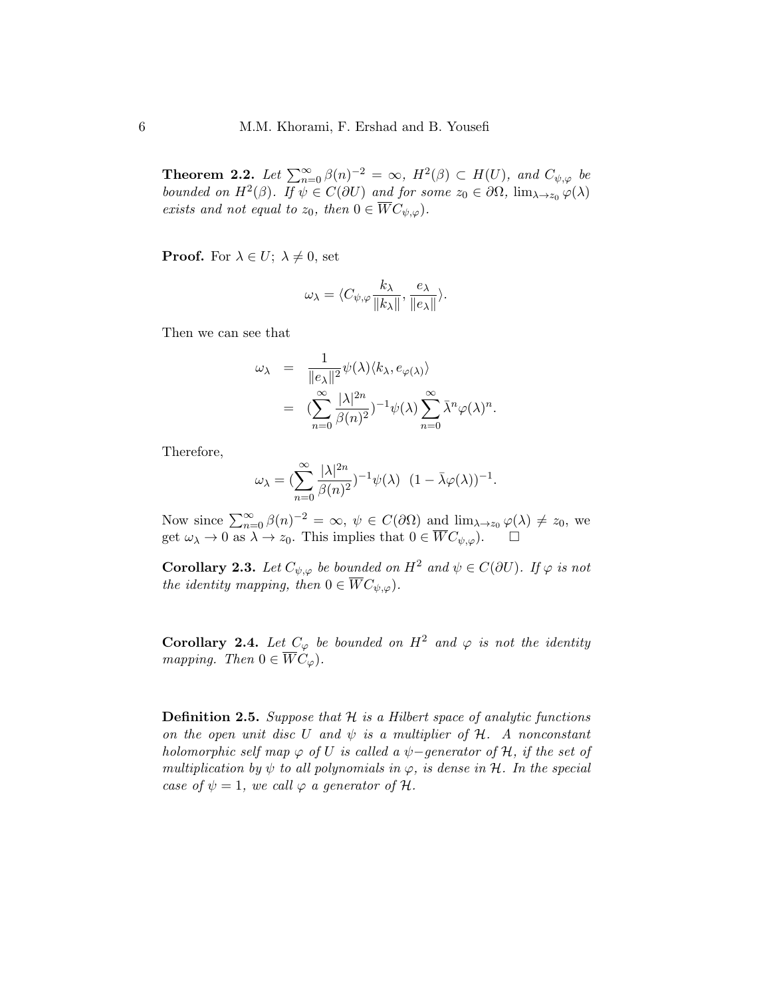**Theorem 2.2.** Let  $\sum_{n=0}^{\infty} \beta(n)^{-2} = \infty$ ,  $H^2(\beta) \subset H(U)$ , and  $C_{\psi,\varphi}$  be bounded on  $H^2(\beta)$ . If  $\psi \in C(\partial U)$  and for some  $z_0 \in \partial \Omega$ ,  $\lim_{\lambda \to z_0} \varphi(\lambda)$ exists and not equal to  $z_0$ , then  $0 \in \overline{W}C_{\psi,\varphi}$ .

**Proof.** For  $\lambda \in U$ ;  $\lambda \neq 0$ , set

$$
\omega_{\lambda} = \langle C_{\psi,\varphi} \frac{k_{\lambda}}{\|k_{\lambda}\|}, \frac{e_{\lambda}}{\|e_{\lambda}\|} \rangle.
$$

Then we can see that

$$
\omega_{\lambda} = \frac{1}{\|e_{\lambda}\|^2} \psi(\lambda) \langle k_{\lambda}, e_{\varphi(\lambda)} \rangle \n= \left( \sum_{n=0}^{\infty} \frac{|\lambda|^{2n}}{\beta(n)^2} \right)^{-1} \psi(\lambda) \sum_{n=0}^{\infty} \bar{\lambda}^n \varphi(\lambda)^n.
$$

Therefore,

$$
\omega_{\lambda} = \left(\sum_{n=0}^{\infty} \frac{|\lambda|^{2n}}{\beta(n)^2}\right)^{-1} \psi(\lambda) \ (1 - \bar{\lambda}\varphi(\lambda))^{-1}.
$$

Now since  $\sum_{n=0}^{\infty} \beta(n)^{-2} = \infty$ ,  $\psi \in C(\partial \Omega)$  and  $\lim_{\lambda \to z_0} \varphi(\lambda) \neq z_0$ , we get  $\omega_{\lambda} \to 0$  as  $\lambda \to z_0$ . This implies that  $0 \in \overline{W}C_{\psi,\varphi}$ .

**Corollary 2.3.** Let  $C_{\psi,\varphi}$  be bounded on  $H^2$  and  $\psi \in C(\partial U)$ . If  $\varphi$  is not the identity mapping, then  $0 \in \overline{W}C_{\psi,\varphi}$ .

Corollary 2.4. Let  $C_{\varphi}$  be bounded on  $H^2$  and  $\varphi$  is not the identity mapping. Then  $0 \in \overline{W}C_{\varphi}$ .

**Definition 2.5.** Suppose that  $H$  is a Hilbert space of analytic functions on the open unit disc U and  $\psi$  is a multiplier of H. A nonconstant holomorphic self map  $\varphi$  of U is called a  $\psi$ -generator of H, if the set of multiplication by  $\psi$  to all polynomials in  $\varphi$ , is dense in  $\mathcal{H}$ . In the special case of  $\psi = 1$ , we call  $\varphi$  a generator of H.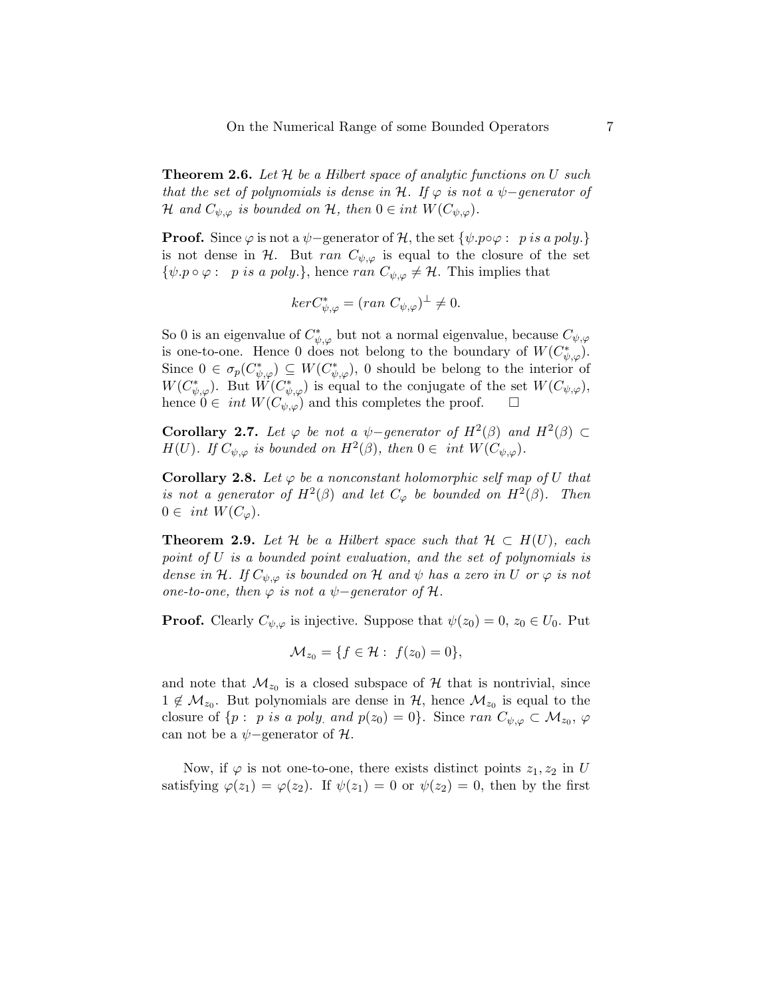**Theorem 2.6.** Let  $\mathcal{H}$  be a Hilbert space of analytic functions on U such that the set of polynomials is dense in H. If  $\varphi$  is not a  $\psi$ -generator of H and  $C_{\psi,\varphi}$  is bounded on H, then  $0 \in int W(C_{\psi,\varphi})$ .

**Proof.** Since  $\varphi$  is not a  $\psi$ -generator of H, the set  $\{\psi, p \circ \varphi : p \text{ is a poly.}\}\$ is not dense in H. But ran  $C_{\psi,\varphi}$  is equal to the closure of the set  $\{\psi. p \circ \varphi : p \text{ is a poly.}\},$  hence ran  $C_{\psi, \varphi} \neq \mathcal{H}.$  This implies that

$$
ker C_{\psi,\varphi}^* = (ran \ C_{\psi,\varphi})^{\perp} \neq 0.
$$

So 0 is an eigenvalue of  $C^*_{\psi,\varphi}$  but not a normal eigenvalue, because  $C_{\psi,\varphi}$ is one-to-one. Hence 0 does not belong to the boundary of  $W(C^*_{\psi,\varphi})$ . Since  $0 \in \sigma_p(C^*_{\psi,\varphi}) \subseteq W(C^*_{\psi,\varphi})$ , 0 should be belong to the interior of  $W(C^*_{\psi,\varphi})$ . But  $\widetilde{W}(C^*_{\psi,\varphi})$  is equal to the conjugate of the set  $W(C_{\psi,\varphi})$ , hence  $0 \in int W(C_{\psi,\varphi})$  and this completes the proof.  $\square$ 

Corollary 2.7. Let  $\varphi$  be not a  $\psi$ -generator of  $H^2(\beta)$  and  $H^2(\beta) \subset$  $H(U)$ . If  $C_{\psi,\varphi}$  is bounded on  $H^2(\beta)$ , then  $0 \in \text{int } W(C_{\psi,\varphi})$ .

**Corollary 2.8.** Let  $\varphi$  be a nonconstant holomorphic self map of U that is not a generator of  $H^2(\beta)$  and let  $C_\varphi$  be bounded on  $H^2(\beta)$ . Then  $0 \in int W(C_{\varphi}).$ 

**Theorem 2.9.** Let H be a Hilbert space such that  $H \subset H(U)$ , each point of U is a bounded point evaluation, and the set of polynomials is dense in H. If  $C_{\psi,\varphi}$  is bounded on H and  $\psi$  has a zero in U or  $\varphi$  is not one-to-one, then  $\varphi$  is not a  $\psi$ -generator of  $\mathcal{H}$ .

**Proof.** Clearly  $C_{\psi,\varphi}$  is injective. Suppose that  $\psi(z_0) = 0, z_0 \in U_0$ . Put

$$
\mathcal{M}_{z_0} = \{ f \in \mathcal{H} : f(z_0) = 0 \},\
$$

and note that  $\mathcal{M}_{z_0}$  is a closed subspace of  $\mathcal H$  that is nontrivial, since  $1 \notin \mathcal{M}_{z_0}$ . But polynomials are dense in  $\mathcal{H}$ , hence  $\mathcal{M}_{z_0}$  is equal to the closure of  $\{p : p \text{ is a poly. and } p(z_0) = 0\}$ . Since ran  $C_{\psi, \varphi} \subset \mathcal{M}_{z_0}, \varphi$ can not be a  $\psi$ -generator of  $\mathcal{H}$ .

Now, if  $\varphi$  is not one-to-one, there exists distinct points  $z_1, z_2$  in U satisfying  $\varphi(z_1) = \varphi(z_2)$ . If  $\psi(z_1) = 0$  or  $\psi(z_2) = 0$ , then by the first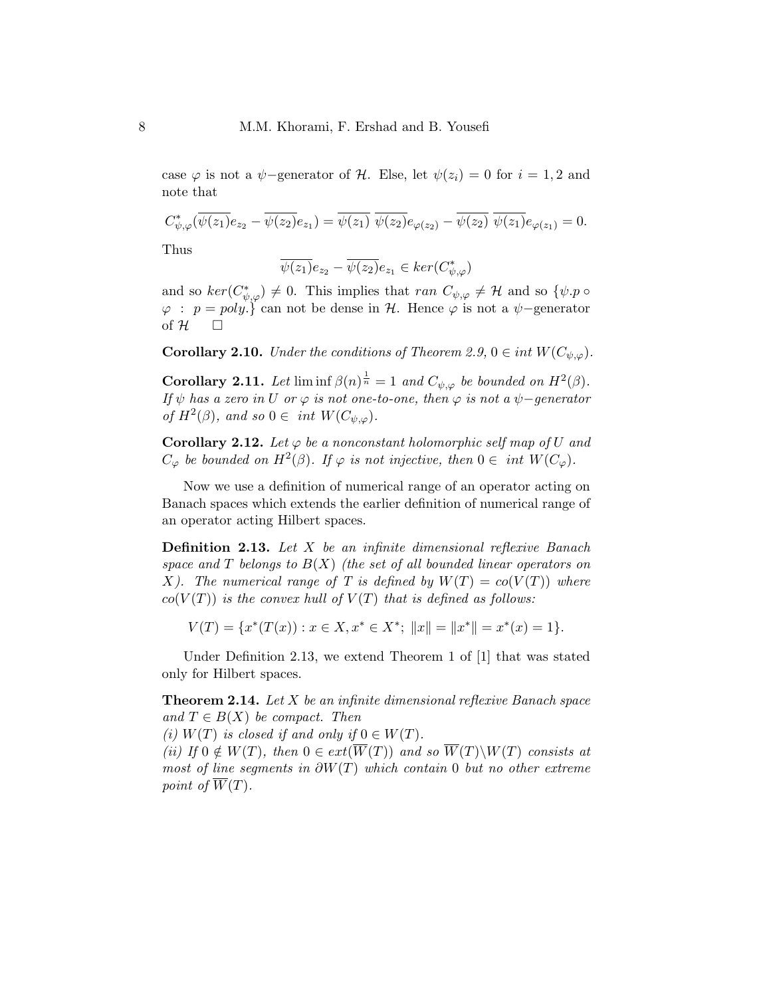case  $\varphi$  is not a  $\psi$ -generator of H. Else, let  $\psi(z_i) = 0$  for  $i = 1, 2$  and note that

$$
C_{\psi,\varphi}^*(\overline{\psi(z_1)}e_{z_2}-\overline{\psi(z_2)}e_{z_1})=\overline{\psi(z_1)}\,\,\overline{\psi(z_2)}e_{\varphi(z_2)}-\overline{\psi(z_2)}\,\,\overline{\psi(z_1)}e_{\varphi(z_1)}=0.
$$

Thus

$$
\overline{\psi(z_1)}e_{z_2} - \overline{\psi(z_2)}e_{z_1} \in \ker(C^*_{\psi,\varphi})
$$

and so  $ker(C^*_{\psi,\varphi}) \neq 0$ . This implies that ran  $C_{\psi,\varphi} \neq \mathcal{H}$  and so  $\{\psi, p \in \varphi\}$  $\varphi : p = poly.$  can not be dense in H. Hence  $\varphi$  is not a  $\psi$ -generator of  $H$   $\Box$ 

**Corollary 2.10.** Under the conditions of Theorem 2.9,  $0 \in int W(C_{\psi,\varphi})$ .

**Corollary 2.11.** Let  $\liminf \beta(n)^{\frac{1}{n}} = 1$  and  $C_{\psi,\varphi}$  be bounded on  $H^2(\beta)$ . If  $\psi$  has a zero in U or  $\varphi$  is not one-to-one, then  $\varphi$  is not a  $\psi$ -generator of  $H^2(\beta)$ , and so  $0 \in \text{int } W(C_{\psi,\varphi})$ .

**Corollary 2.12.** Let  $\varphi$  be a nonconstant holomorphic self map of U and  $C_{\varphi}$  be bounded on  $H^2(\beta)$ . If  $\varphi$  is not injective, then  $0 \in \int W(C_{\varphi})$ .

Now we use a definition of numerical range of an operator acting on Banach spaces which extends the earlier definition of numerical range of an operator acting Hilbert spaces.

Definition 2.13. Let X be an infinite dimensional reflexive Banach space and T belongs to  $B(X)$  (the set of all bounded linear operators on X). The numerical range of T is defined by  $W(T) = co(V(T))$  where  $co(V(T))$  is the convex hull of  $V(T)$  that is defined as follows:

$$
V(T) = \{ x^*(T(x)) : x \in X, x^* \in X^*; ||x|| = ||x^*|| = x^*(x) = 1 \}.
$$

Under Definition 2.13, we extend Theorem 1 of [1] that was stated only for Hilbert spaces.

**Theorem 2.14.** Let  $X$  be an infinite dimensional reflexive Banach space and  $T \in B(X)$  be compact. Then

(i)  $W(T)$  is closed if and only if  $0 \in W(T)$ .

(ii) If  $0 \notin W(T)$ , then  $0 \in ext(\overline{W}(T))$  and so  $\overline{W}(T)\backslash W(T)$  consists at most of line segments in  $\partial W(T)$  which contain 0 but no other extreme point of  $\overline{W}(T)$ .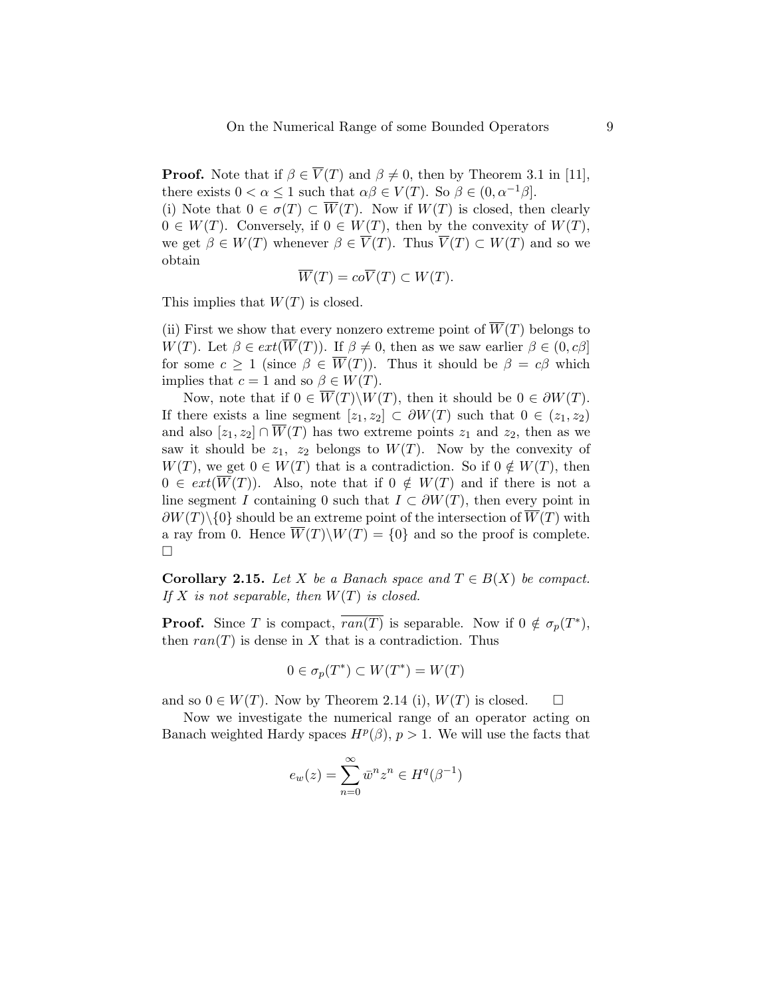**Proof.** Note that if  $\beta \in \overline{V}(T)$  and  $\beta \neq 0$ , then by Theorem 3.1 in [11], there exists  $0 < \alpha \leq 1$  such that  $\alpha\beta \in V(T)$ . So  $\beta \in (0, \alpha^{-1}\beta]$ .

(i) Note that  $0 \in \sigma(T) \subset \overline{W}(T)$ . Now if  $W(T)$  is closed, then clearly  $0 \in W(T)$ . Conversely, if  $0 \in W(T)$ , then by the convexity of  $W(T)$ , we get  $\beta \in W(T)$  whenever  $\beta \in \overline{V}(T)$ . Thus  $\overline{V}(T) \subset W(T)$  and so we obtain

$$
\overline{W}(T) = co\overline{V}(T) \subset W(T).
$$

This implies that  $W(T)$  is closed.

(ii) First we show that every nonzero extreme point of  $\overline{W}(T)$  belongs to W(T). Let  $\beta \in ext(\overline{W}(T))$ . If  $\beta \neq 0$ , then as we saw earlier  $\beta \in (0, c\beta]$ for some  $c \geq 1$  (since  $\beta \in \overline{W}(T)$ ). Thus it should be  $\beta = c\beta$  which implies that  $c = 1$  and so  $\beta \in W(T)$ .

Now, note that if  $0 \in \overline{W}(T) \backslash W(T)$ , then it should be  $0 \in \partial W(T)$ . If there exists a line segment  $[z_1, z_2] \subset \partial W(T)$  such that  $0 \in (z_1, z_2)$ and also  $[z_1, z_2] \cap \overline{W}(T)$  has two extreme points  $z_1$  and  $z_2$ , then as we saw it should be  $z_1$ ,  $z_2$  belongs to  $W(T)$ . Now by the convexity of  $W(T)$ , we get  $0 \in W(T)$  that is a contradiction. So if  $0 \notin W(T)$ , then  $0 \in ext(\overline{W}(T))$ . Also, note that if  $0 \notin W(T)$  and if there is not a line segment I containing 0 such that  $I \subset \partial W(T)$ , then every point in  $\partial W(T)\setminus\{0\}$  should be an extreme point of the intersection of  $W(T)$  with a ray from 0. Hence  $\overline{W}(T)\backslash W(T) = \{0\}$  and so the proof is complete.  $\Box$ 

**Corollary 2.15.** Let X be a Banach space and  $T \in B(X)$  be compact. If X is not separable, then  $W(T)$  is closed.

**Proof.** Since T is compact,  $\overline{ran(T)}$  is separable. Now if  $0 \notin \sigma_p(T^*)$ , then  $ran(T)$  is dense in X that is a contradiction. Thus

$$
0 \in \sigma_p(T^*) \subset W(T^*) = W(T)
$$

and so  $0 \in W(T)$ . Now by Theorem 2.14 (i),  $W(T)$  is closed.  $\square$ 

Now we investigate the numerical range of an operator acting on Banach weighted Hardy spaces  $H^p(\beta)$ ,  $p > 1$ . We will use the facts that

$$
e_w(z) = \sum_{n=0}^{\infty} \bar{w}^n z^n \in H^q(\beta^{-1})
$$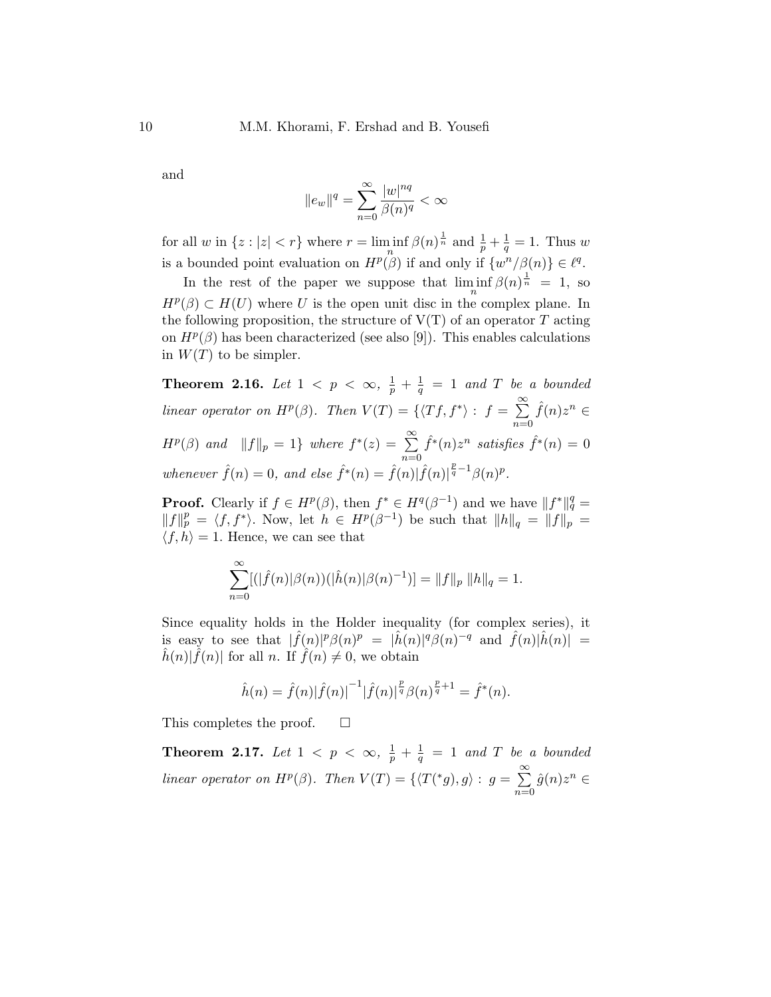and

$$
\|e_w\|^q=\sum_{n=0}^\infty\frac{|w|^{nq}}{\beta(n)^q}<\infty
$$

for all w in  $\{z : |z| < r\}$  where  $r = \liminf_{n} \beta(n)^{\frac{1}{n}}$  and  $\frac{1}{p} + \frac{1}{q}$  $\frac{1}{q} = 1$ . Thus w is a bounded point evaluation on  $H^p(\beta)$  if and only if  $\{w^n/\beta(n)\}\in \ell^q$ .

In the rest of the paper we suppose that  $\liminf_{n} \beta(n)^{\frac{1}{n}} = 1$ , so  $H^p(\beta) \subset H(U)$  where U is the open unit disc in the complex plane. In the following proposition, the structure of  $V(T)$  of an operator T acting on  $H^p(\beta)$  has been characterized (see also [9]). This enables calculations in  $W(T)$  to be simpler.

Theorem 2.16. Let  $1 \, < \, p \, < \, \infty, \, \, \frac{1}{p} \, + \, \frac{1}{q}$  $\frac{1}{q}$  = 1 and T be a bounded linear operator on  $H^p(\beta)$ . Then  $V(T) = \{ \langle Tf, f^* \rangle : f = \sum_{r=0}^{\infty}$  $n=0$  $\hat{f}(n)z^n \in$  $H^p(\beta)$  and  $||f||_p = 1$  where  $f^*(z) = \sum_{r=0}^{\infty}$  $n=0$  $\hat{f}^*(n)z^n$  satisfies  $\hat{f}^*(n) = 0$ whenever  $\hat{f}(n) = 0$ , and else  $\hat{f}^*(n) = \hat{f}(n) |\hat{f}(n)|^{\frac{p}{q}-1} \beta(n)^p$ .

**Proof.** Clearly if  $f \in H^p(\beta)$ , then  $f^* \in H^q(\beta^{-1})$  and we have  $||f^*||_q^q =$  $||f||_p^p = \langle f, f^* \rangle$ . Now, let  $h \in H^p(\beta^{-1})$  be such that  $||h||_q = ||f||_p =$  $\langle f, h \rangle = 1$ . Hence, we can see that

$$
\sum_{n=0}^{\infty} [(|\hat{f}(n)|\beta(n))(|\hat{h}(n)|\beta(n)^{-1})] = ||f||_p ||h||_q = 1.
$$

Since equality holds in the Holder inequality (for complex series), it is easy to see that  $|\hat{f}(n)|^p \beta(n)^p = |\hat{h}(n)|^q \beta(n)^{-q}$  and  $\hat{f}(n)|\hat{h}(n)| =$  $\hat{h}(n)|\hat{f}(n)|$  for all n. If  $\hat{f}(n) \neq 0$ , we obtain

$$
\hat{h}(n) = \hat{f}(n)|\hat{f}(n)|^{-1}|\hat{f}(n)|^{\frac{p}{q}}\beta(n)^{\frac{p}{q}+1} = \hat{f}^*(n).
$$

This completes the proof.  $\square$ 

**Theorem 2.17.** Let  $1 \le p \le \infty, \frac{1}{p} + \frac{1}{q}$  $\frac{1}{q}$  = 1 and T be a bounded linear operator on  $H^p(\beta)$ . Then  $V(T) = \{ \langle T({}^*g), g \rangle : g = \sum_{r=0}^{\infty} \frac{1}{r}$  $n=0$  $\hat{g}(n)z^n \in$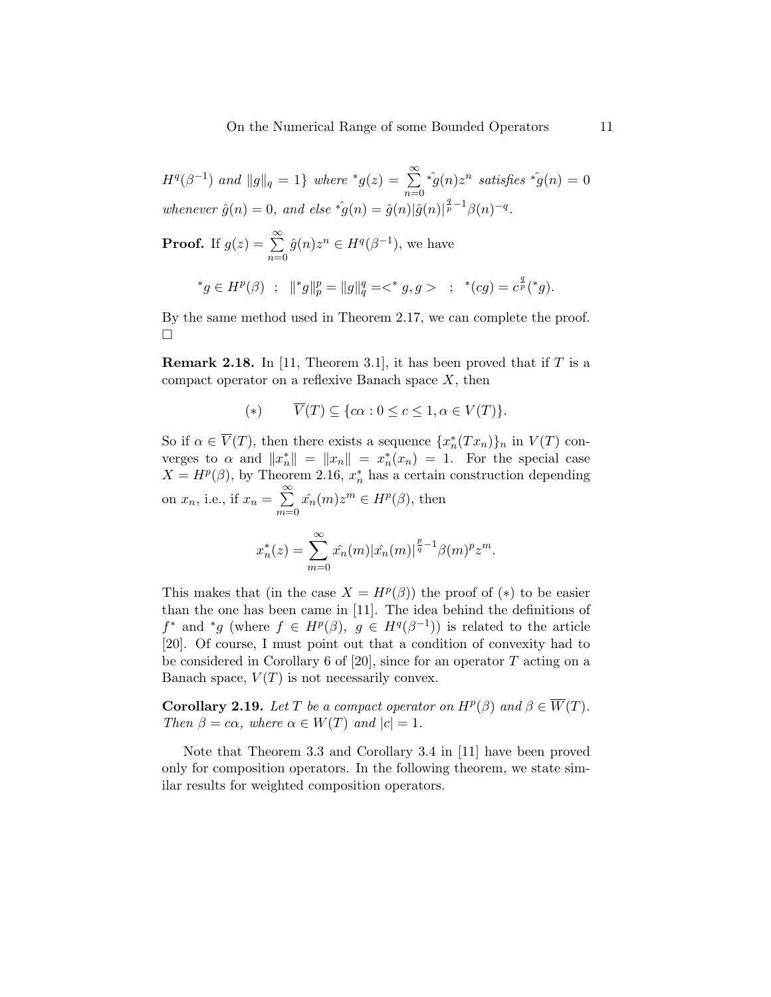On the Numerical Range of some Bounded Operators 11

 $H^q(\beta^{-1})$  and  $||g||_q = 1$ } where  $^*g(z) = \sum_{r=0}^{\infty}$  $n=0$  $\hat{f}^*(q(n)z^n \text{ satisfies } \hat{f}^*(n) = 0$ whenever  $\hat{g}(n) = 0$ , and else  $\hat{g}(n) = \hat{g}(n)|\hat{g}(n)|^{\frac{q}{p}-1}\beta(n)^{-q}$ .

**Proof.** If  $g(z) = \sum^{\infty}$  $n=0$  $\hat{g}(n)z^n \in H^q(\beta^{-1}),$  we have

$$
^*g \in H^p(\beta) \ ; \ \ \|^*g\|_p^p = \|g\|_q^q = \langle ^*g, g \rangle \ ; \ \ ^* (cg) = c^{\frac{q}{p}}(^*g).
$$

By the same method used in Theorem 2.17, we can complete the proof.  $\Box$ 

**Remark 2.18.** In [11, Theorem 3.1], it has been proved that if  $T$  is a compact operator on a reflexive Banach space  $X$ , then

$$
(*) \qquad \overline{V}(T) \subseteq \{c\alpha : 0 \le c \le 1, \alpha \in V(T)\}.
$$

So if  $\alpha \in \overline{V}(T)$ , then there exists a sequence  $\{x_n^*(Tx_n)\}_n$  in  $V(T)$  converges to  $\alpha$  and  $||x_n^*|| = ||x_n|| = x_n^*(x_n) = 1$ . For the special case  $X = H<sup>p</sup>(\beta)$ , by Theorem 2.16,  $x_n^*$  has a certain construction depending on  $x_n$ , i.e., if  $x_n = \sum_{n=1}^{\infty}$  $m=0$  $\hat{x_n}(m)z^m \in H^p(\beta)$ , then

$$
x_n^*(z) = \sum_{m=0}^{\infty} \hat{x_n}(m) |\hat{x_n}(m)|^{\frac{p}{q}-1} \beta(m)^p z^m.
$$

This makes that (in the case  $X = H^p(\beta)$ ) the proof of (\*) to be easier than the one has been came in [11]. The idea behind the definitions of  $f^*$  and  $^*g$  (where  $f \in H^p(\beta)$ ,  $g \in H^q(\beta^{-1})$ ) is related to the article [20]. Of course, I must point out that a condition of convexity had to be considered in Corollary 6 of [20], since for an operator T acting on a Banach space,  $V(T)$  is not necessarily convex.

**Corollary 2.19.** Let T be a compact operator on  $H^p(\beta)$  and  $\beta \in \overline{W}(T)$ . Then  $\beta = c\alpha$ , where  $\alpha \in W(T)$  and  $|c| = 1$ .

Note that Theorem 3.3 and Corollary 3.4 in [11] have been proved only for composition operators. In the following theorem, we state similar results for weighted composition operators.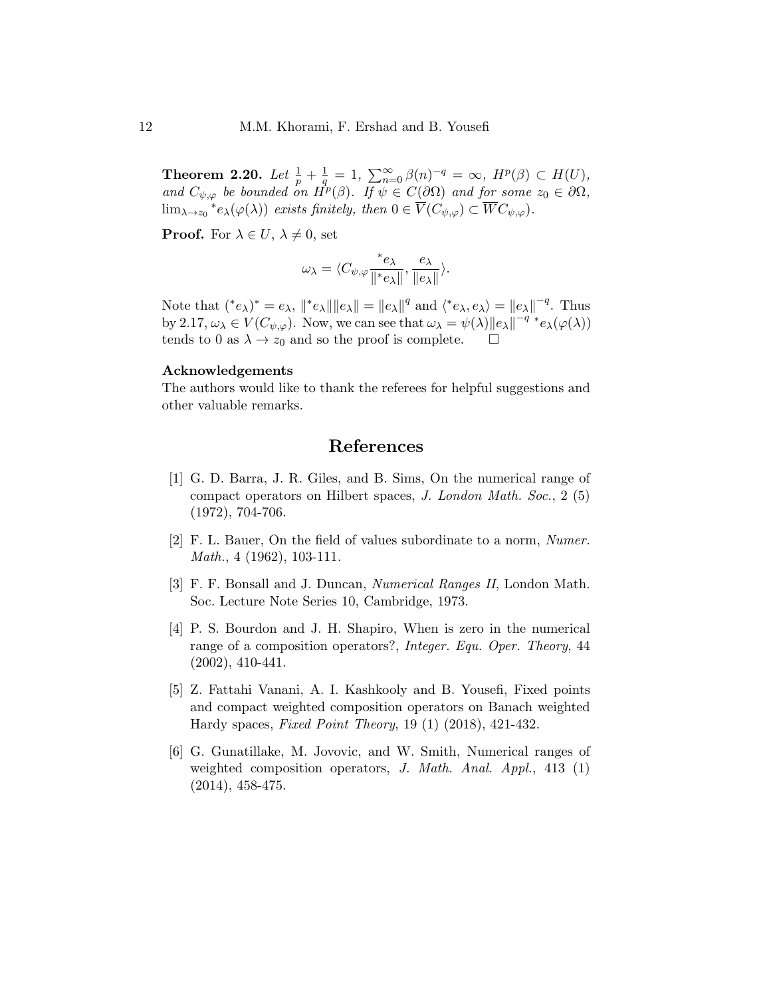Theorem 2.20. Let  $\frac{1}{p} + \frac{1}{q}$  $\frac{1}{q} = 1, \sum_{n=0}^{\infty} \beta(n)^{-q} = \infty, H^p(\beta) \subset H(U),$ and  $C_{\psi,\varphi}$  be bounded on  $\vec{H}^p(\beta)$ . If  $\psi \in C(\partial\Omega)$  and for some  $z_0 \in \partial\Omega$ ,  $\lim_{\lambda \to z_0} {^*e}_{\lambda}(\varphi(\lambda))$  exists finitely, then  $0 \in \overline{V}(C_{\psi,\varphi}) \subset \overline{W}C_{\psi,\varphi}$ .

**Proof.** For  $\lambda \in U$ ,  $\lambda \neq 0$ , set

$$
\omega_\lambda = \langle C_{\psi,\varphi} \frac{\ast_{e_\lambda}}{\| \ast_{e_\lambda} \|}, \frac{e_\lambda}{\| e_\lambda \|} \rangle.
$$

Note that  $({}^*e_\lambda)^* = e_\lambda$ ,  $||{}^*e_\lambda|| ||e_\lambda|| = ||e_\lambda||^q$  and  $\langle{}^*e_\lambda, e_\lambda\rangle = ||e_\lambda||^{-q}$ . Thus by 2.17,  $\omega_{\lambda} \in V(C_{\psi,\varphi})$ . Now, we can see that  $\omega_{\lambda} = \psi(\lambda) ||e_{\lambda}||^{-q^*} e_{\lambda}(\varphi(\lambda))$ tends to 0 as  $\lambda \to z_0$  and so the proof is complete.  $\square$ 

### Acknowledgements

The authors would like to thank the referees for helpful suggestions and other valuable remarks.

# References

- [1] G. D. Barra, J. R. Giles, and B. Sims, On the numerical range of compact operators on Hilbert spaces, J. London Math. Soc., 2 (5) (1972), 704-706.
- [2] F. L. Bauer, On the field of values subordinate to a norm, Numer. Math., 4 (1962), 103-111.
- [3] F. F. Bonsall and J. Duncan, Numerical Ranges II, London Math. Soc. Lecture Note Series 10, Cambridge, 1973.
- [4] P. S. Bourdon and J. H. Shapiro, When is zero in the numerical range of a composition operators?, Integer. Equ. Oper. Theory, 44 (2002), 410-441.
- [5] Z. Fattahi Vanani, A. I. Kashkooly and B. Yousefi, Fixed points and compact weighted composition operators on Banach weighted Hardy spaces, Fixed Point Theory, 19 (1) (2018), 421-432.
- [6] G. Gunatillake, M. Jovovic, and W. Smith, Numerical ranges of weighted composition operators, J. Math. Anal. Appl., 413 (1) (2014), 458-475.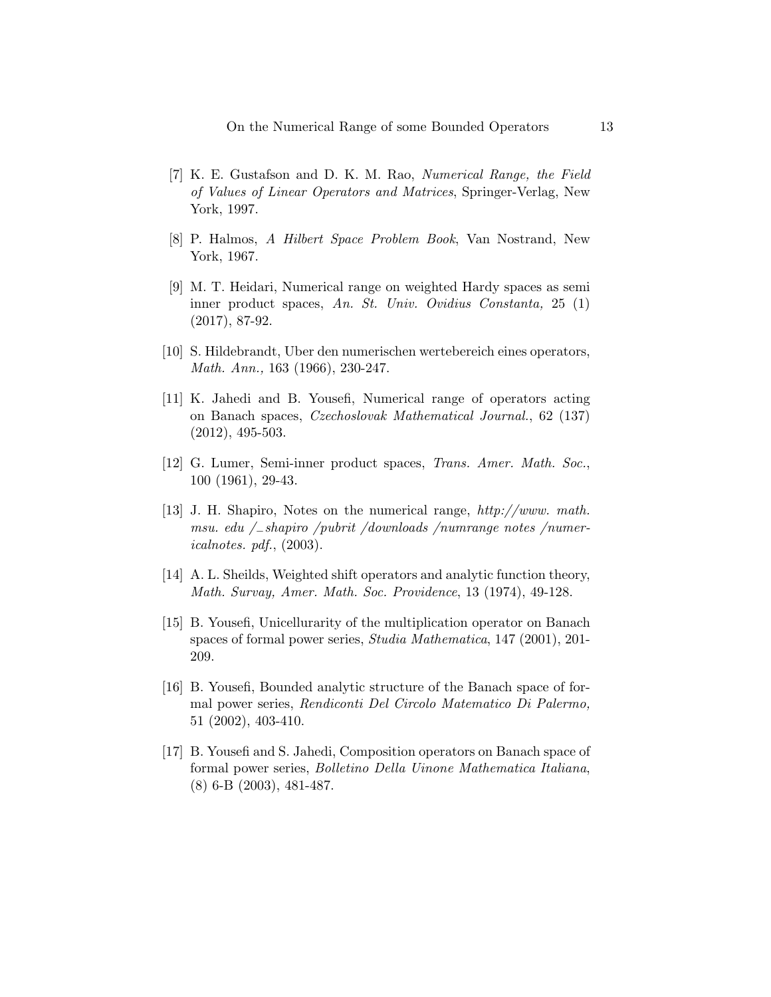- [7] K. E. Gustafson and D. K. M. Rao, Numerical Range, the Field of Values of Linear Operators and Matrices, Springer-Verlag, New York, 1997.
- [8] P. Halmos, A Hilbert Space Problem Book, Van Nostrand, New York, 1967.
- [9] M. T. Heidari, Numerical range on weighted Hardy spaces as semi inner product spaces, An. St. Univ. Ovidius Constanta, 25 (1) (2017), 87-92.
- [10] S. Hildebrandt, Uber den numerischen wertebereich eines operators, Math. Ann., 163 (1966), 230-247.
- [11] K. Jahedi and B. Yousefi, Numerical range of operators acting on Banach spaces, Czechoslovak Mathematical Journal., 62 (137) (2012), 495-503.
- [12] G. Lumer, Semi-inner product spaces, Trans. Amer. Math. Soc., 100 (1961), 29-43.
- [13] J. H. Shapiro, Notes on the numerical range, http://www. math. msu. edu /−shapiro /pubrit /downloads /numrange notes /numericalnotes. pdf., (2003).
- [14] A. L. Sheilds, Weighted shift operators and analytic function theory, Math. Survay, Amer. Math. Soc. Providence, 13 (1974), 49-128.
- [15] B. Yousefi, Unicellurarity of the multiplication operator on Banach spaces of formal power series, Studia Mathematica, 147 (2001), 201- 209.
- [16] B. Yousefi, Bounded analytic structure of the Banach space of formal power series, Rendiconti Del Circolo Matematico Di Palermo, 51 (2002), 403-410.
- [17] B. Yousefi and S. Jahedi, Composition operators on Banach space of formal power series, Bolletino Della Uinone Mathematica Italiana, (8) 6-B (2003), 481-487.